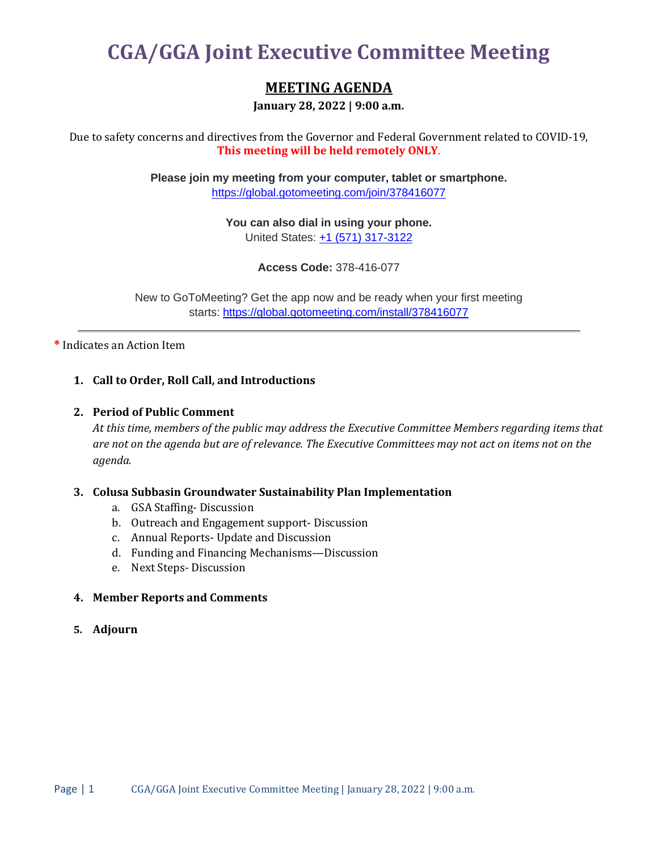# **CGA/GGA Joint Executive Committee Meeting**

## **MEETING AGENDA**

**January 28, 2022 | 9:00 a.m.**

Due to safety concerns and directives from the Governor and Federal Government related to COVID-19, **This meeting will be held remotely ONLY**.

> **Please join my meeting from your computer, tablet or smartphone.** <https://global.gotomeeting.com/join/378416077>

> > **You can also dial in using your phone.** United States: [+1 \(571\) 317-3122](tel:+15713173122,,378416077)

> > > **Access Code:** 378-416-077

New to GoToMeeting? Get the app now and be ready when your first meeting starts: <https://global.gotomeeting.com/install/378416077>

**\*** Indicates an Action Item

#### **1. Call to Order, Roll Call, and Introductions**

#### **2. Period of Public Comment**

*At this time, members of the public may address the Executive Committee Members regarding items that are not on the agenda but are of relevance. The Executive Committees may not act on items not on the agenda.*

#### **3. Colusa Subbasin Groundwater Sustainability Plan Implementation**

- a. GSA Staffing- Discussion
- b. Outreach and Engagement support- Discussion
- c. Annual Reports- Update and Discussion
- d. Funding and Financing Mechanisms—Discussion
- e. Next Steps- Discussion

### **4. Member Reports and Comments**

**5. Adjourn**